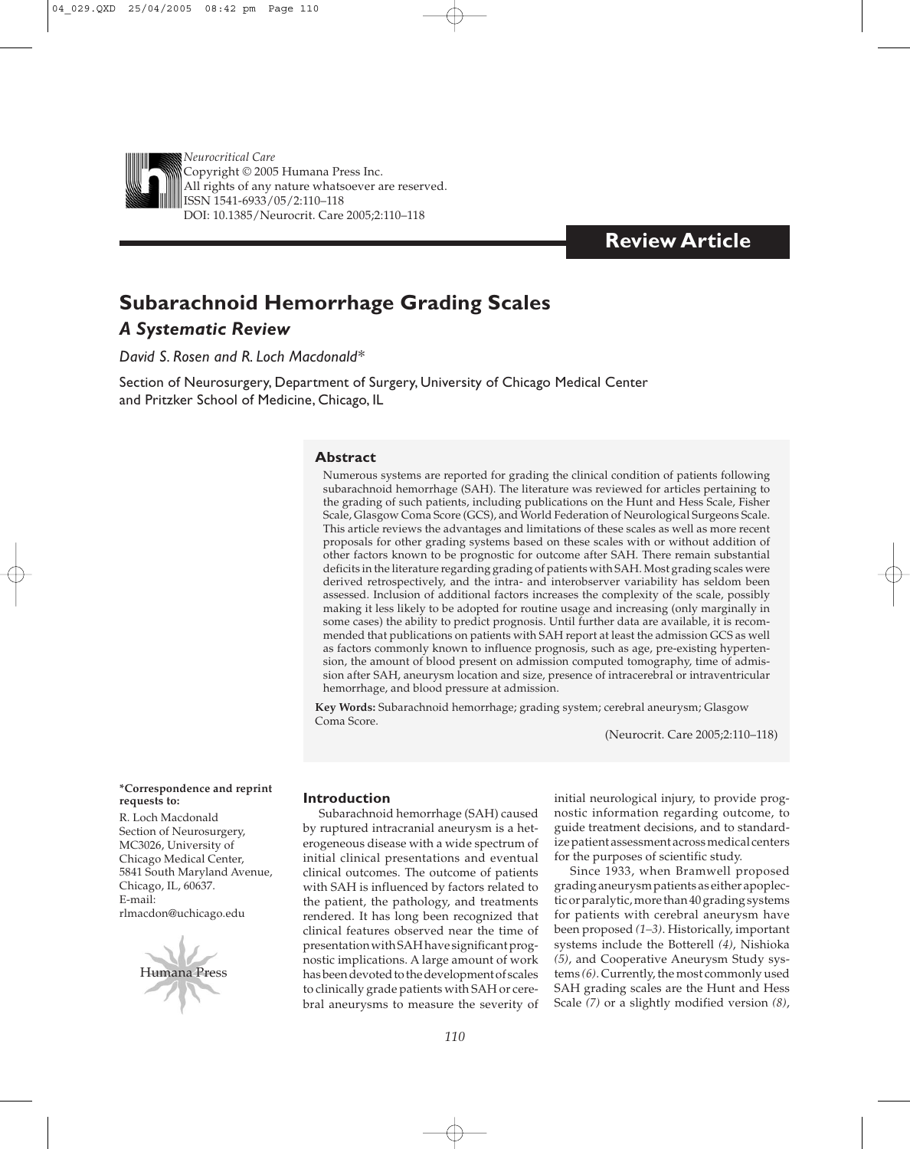

*Neurocritical Care* Copyright © 2005 Humana Press Inc. All rights of any nature whatsoever are reserved. ISSN 1541-6933/05/2:110–118 DOI: 10.1385/Neurocrit. Care 2005;2:110–118

## **Review Article**

# **Subarachnoid Hemorrhage Grading Scales**

## *A Systematic Review*

*David S. Rosen and R. Loch Macdonald\**

Section of Neurosurgery, Department of Surgery, University of Chicago Medical Center and Pritzker School of Medicine, Chicago, IL

#### **Abstract**

Numerous systems are reported for grading the clinical condition of patients following subarachnoid hemorrhage (SAH). The literature was reviewed for articles pertaining to the grading of such patients, including publications on the Hunt and Hess Scale, Fisher Scale, Glasgow Coma Score (GCS), and World Federation of Neurological Surgeons Scale. This article reviews the advantages and limitations of these scales as well as more recent proposals for other grading systems based on these scales with or without addition of other factors known to be prognostic for outcome after SAH. There remain substantial deficits in the literature regarding grading of patients with SAH. Most grading scales were derived retrospectively, and the intra- and interobserver variability has seldom been assessed. Inclusion of additional factors increases the complexity of the scale, possibly making it less likely to be adopted for routine usage and increasing (only marginally in some cases) the ability to predict prognosis. Until further data are available, it is recommended that publications on patients with SAH report at least the admission GCS as well as factors commonly known to influence prognosis, such as age, pre-existing hypertension, the amount of blood present on admission computed tomography, time of admission after SAH, aneurysm location and size, presence of intracerebral or intraventricular hemorrhage, and blood pressure at admission.

**Key Words:** Subarachnoid hemorrhage; grading system; cerebral aneurysm; Glasgow Coma Score.

(Neurocrit. Care 2005;2:110–118)

#### **\*Correspondence and reprint requests to:**

R. Loch Macdonald Section of Neurosurgery, MC3026, University of Chicago Medical Center, 5841 South Maryland Avenue, Chicago, IL, 60637. E-mail: rlmacdon@uchicago.edu



#### **Introduction**

Subarachnoid hemorrhage (SAH) caused by ruptured intracranial aneurysm is a heterogeneous disease with a wide spectrum of initial clinical presentations and eventual clinical outcomes. The outcome of patients with SAH is influenced by factors related to the patient, the pathology, and treatments rendered. It has long been recognized that clinical features observed near the time of presentation with SAH have significant prognostic implications. A large amount of work has been devoted to the development of scales to clinically grade patients with SAH or cerebral aneurysms to measure the severity of

initial neurological injury, to provide prognostic information regarding outcome, to guide treatment decisions, and to standardize patient assessment across medical centers for the purposes of scientific study.

Since 1933, when Bramwell proposed grading aneurysm patients as either apoplectic or paralytic, more than 40 grading systems for patients with cerebral aneurysm have been proposed *(1–3)*. Historically, important systems include the Botterell *(4)*, Nishioka *(5)*, and Cooperative Aneurysm Study systems *(6)*. Currently, the most commonly used SAH grading scales are the Hunt and Hess Scale *(7)* or a slightly modified version *(8)*,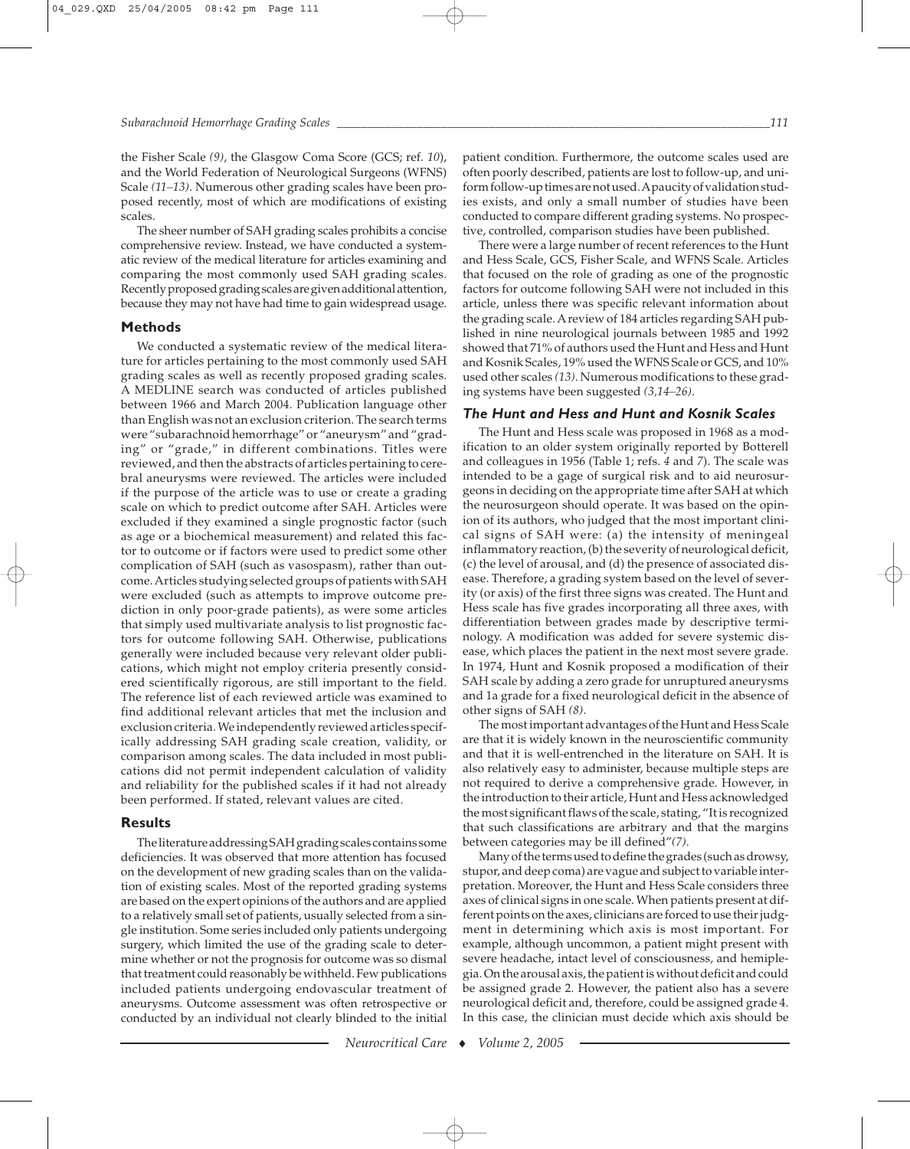the Fisher Scale *(9)*, the Glasgow Coma Score (GCS; ref. *10*), and the World Federation of Neurological Surgeons (WFNS) Scale *(11–13)*. Numerous other grading scales have been proposed recently, most of which are modifications of existing scales.

The sheer number of SAH grading scales prohibits a concise comprehensive review. Instead, we have conducted a systematic review of the medical literature for articles examining and comparing the most commonly used SAH grading scales. Recently proposed grading scales are given additional attention, because they may not have had time to gain widespread usage.

#### **Methods**

We conducted a systematic review of the medical literature for articles pertaining to the most commonly used SAH grading scales as well as recently proposed grading scales. A MEDLINE search was conducted of articles published between 1966 and March 2004. Publication language other than English was not an exclusion criterion. The search terms were "subarachnoid hemorrhage" or "aneurysm" and "grading" or "grade," in different combinations. Titles were reviewed, and then the abstracts of articles pertaining to cerebral aneurysms were reviewed. The articles were included if the purpose of the article was to use or create a grading scale on which to predict outcome after SAH. Articles were excluded if they examined a single prognostic factor (such as age or a biochemical measurement) and related this factor to outcome or if factors were used to predict some other complication of SAH (such as vasospasm), rather than outcome. Articles studying selected groups of patients with SAH were excluded (such as attempts to improve outcome prediction in only poor-grade patients), as were some articles that simply used multivariate analysis to list prognostic factors for outcome following SAH. Otherwise, publications generally were included because very relevant older publications, which might not employ criteria presently considered scientifically rigorous, are still important to the field. The reference list of each reviewed article was examined to find additional relevant articles that met the inclusion and exclusion criteria. We independently reviewed articles specifically addressing SAH grading scale creation, validity, or comparison among scales. The data included in most publications did not permit independent calculation of validity and reliability for the published scales if it had not already been performed. If stated, relevant values are cited.

#### **Results**

The literature addressing SAH grading scales contains some deficiencies. It was observed that more attention has focused on the development of new grading scales than on the validation of existing scales. Most of the reported grading systems are based on the expert opinions of the authors and are applied to a relatively small set of patients, usually selected from a single institution. Some series included only patients undergoing surgery, which limited the use of the grading scale to determine whether or not the prognosis for outcome was so dismal that treatment could reasonably be withheld. Few publications included patients undergoing endovascular treatment of aneurysms. Outcome assessment was often retrospective or conducted by an individual not clearly blinded to the initial

patient condition. Furthermore, the outcome scales used are often poorly described, patients are lost to follow-up, and uniform follow-up times are not used. Apaucity of validation studies exists, and only a small number of studies have been conducted to compare different grading systems. No prospective, controlled, comparison studies have been published.

There were a large number of recent references to the Hunt and Hess Scale, GCS, Fisher Scale, and WFNS Scale. Articles that focused on the role of grading as one of the prognostic factors for outcome following SAH were not included in this article, unless there was specific relevant information about the grading scale. Areview of 184 articles regarding SAH published in nine neurological journals between 1985 and 1992 showed that 71% of authors used the Hunt and Hess and Hunt and Kosnik Scales, 19% used the WFNS Scale or GCS, and 10% used other scales *(13)*. Numerous modifications to these grading systems have been suggested *(3,14–26)*.

#### *The Hunt and Hess and Hunt and Kosnik Scales*

The Hunt and Hess scale was proposed in 1968 as a modification to an older system originally reported by Botterell and colleagues in 1956 (Table 1; refs. *4* and *7*). The scale was intended to be a gage of surgical risk and to aid neurosurgeons in deciding on the appropriate time after SAH at which the neurosurgeon should operate. It was based on the opinion of its authors, who judged that the most important clinical signs of SAH were: (a) the intensity of meningeal inflammatory reaction, (b) the severity of neurological deficit, (c) the level of arousal, and (d) the presence of associated disease. Therefore, a grading system based on the level of severity (or axis) of the first three signs was created. The Hunt and Hess scale has five grades incorporating all three axes, with differentiation between grades made by descriptive terminology. A modification was added for severe systemic disease, which places the patient in the next most severe grade. In 1974, Hunt and Kosnik proposed a modification of their SAH scale by adding a zero grade for unruptured aneurysms and 1a grade for a fixed neurological deficit in the absence of other signs of SAH *(8)*.

The most important advantages of the Hunt and Hess Scale are that it is widely known in the neuroscientific community and that it is well-entrenched in the literature on SAH. It is also relatively easy to administer, because multiple steps are not required to derive a comprehensive grade. However, in the introduction to their article, Hunt and Hess acknowledged the most significant flaws of the scale, stating, "It is recognized that such classifications are arbitrary and that the margins between categories may be ill defined"*(7)*.

Many of the terms used to define the grades (such as drowsy, stupor, and deep coma) are vague and subject to variable interpretation. Moreover, the Hunt and Hess Scale considers three axes of clinical signs in one scale. When patients present at different points on the axes, clinicians are forced to use their judgment in determining which axis is most important. For example, although uncommon, a patient might present with severe headache, intact level of consciousness, and hemiplegia. On the arousal axis, the patient is without deficit and could be assigned grade 2. However, the patient also has a severe neurological deficit and, therefore, could be assigned grade 4. In this case, the clinician must decide which axis should be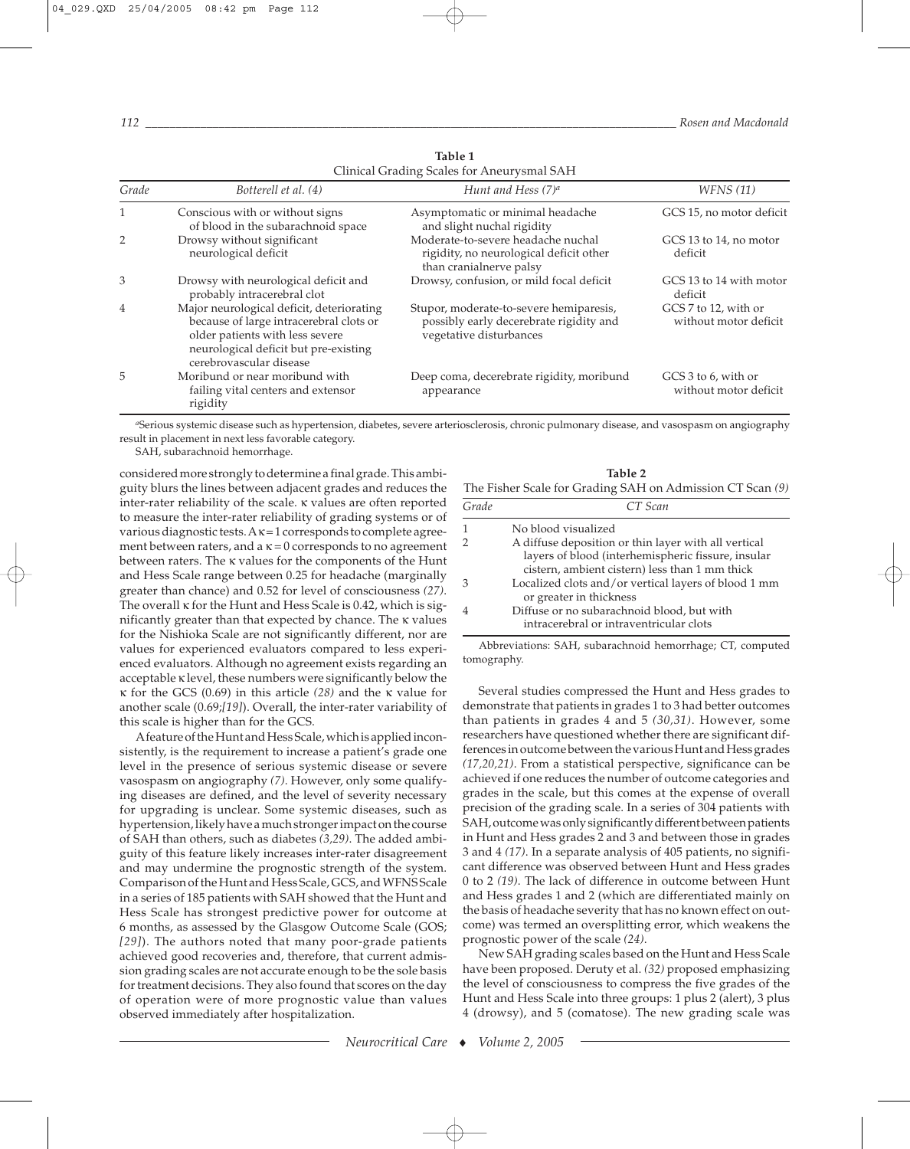| Grade          | Botterell et al. (4)                                                                                                                                                                        | Hunt and Hess $(7)^a$                                                                                         | <b>WFNS</b> (11)                              |
|----------------|---------------------------------------------------------------------------------------------------------------------------------------------------------------------------------------------|---------------------------------------------------------------------------------------------------------------|-----------------------------------------------|
|                | Conscious with or without signs<br>of blood in the subarachnoid space                                                                                                                       | Asymptomatic or minimal headache<br>and slight nuchal rigidity                                                | GCS 15, no motor deficit                      |
| $\overline{2}$ | Drowsy without significant<br>neurological deficit                                                                                                                                          | Moderate-to-severe headache nuchal<br>rigidity, no neurological deficit other<br>than cranialnerve palsy      | GCS 13 to 14, no motor<br>deficit             |
| 3              | Drowsy with neurological deficit and<br>probably intracerebral clot                                                                                                                         | Drowsy, confusion, or mild focal deficit                                                                      | GCS 13 to 14 with motor<br>deficit            |
| $\overline{4}$ | Major neurological deficit, deteriorating<br>because of large intracerebral clots or<br>older patients with less severe<br>neurological deficit but pre-existing<br>cerebrovascular disease | Stupor, moderate-to-severe hemiparesis,<br>possibly early decerebrate rigidity and<br>vegetative disturbances | GCS 7 to 12, with or<br>without motor deficit |
| 5              | Moribund or near moribund with<br>failing vital centers and extensor<br>rigidity                                                                                                            | Deep coma, decerebrate rigidity, moribund<br>appearance                                                       | GCS 3 to 6, with or<br>without motor deficit  |

**Table 1** Clinical Grading Scales for Aneurysmal SAH

*a* Serious systemic disease such as hypertension, diabetes, severe arteriosclerosis, chronic pulmonary disease, and vasospasm on angiography result in placement in next less favorable category.

SAH, subarachnoid hemorrhage.

considered more strongly to determine a final grade. This ambiguity blurs the lines between adjacent grades and reduces the inter-rater reliability of the scale. κ values are often reported to measure the inter-rater reliability of grading systems or of various diagnostic tests.  $A\kappa = 1$  corresponds to complete agreement between raters, and a  $\kappa = 0$  corresponds to no agreement between raters. The κ values for the components of the Hunt and Hess Scale range between 0.25 for headache (marginally greater than chance) and 0.52 for level of consciousness *(27)*. The overall κ for the Hunt and Hess Scale is 0.42, which is significantly greater than that expected by chance. The κ values for the Nishioka Scale are not significantly different, nor are values for experienced evaluators compared to less experienced evaluators. Although no agreement exists regarding an acceptable κ level, these numbers were significantly below the κ for the GCS (0.69) in this article *(28)* and the κ value for another scale (0.69;*[19]*). Overall, the inter-rater variability of this scale is higher than for the GCS.

Afeature of the Hunt and Hess Scale, which is applied inconsistently, is the requirement to increase a patient's grade one level in the presence of serious systemic disease or severe vasospasm on angiography *(7)*. However, only some qualifying diseases are defined, and the level of severity necessary for upgrading is unclear. Some systemic diseases, such as hypertension, likely have a much stronger impact on the course of SAH than others, such as diabetes *(3,29)*. The added ambiguity of this feature likely increases inter-rater disagreement and may undermine the prognostic strength of the system. Comparison of the Hunt and Hess Scale, GCS, and WFNS Scale in a series of 185 patients with SAH showed that the Hunt and Hess Scale has strongest predictive power for outcome at 6 months, as assessed by the Glasgow Outcome Scale (GOS; *[29]*). The authors noted that many poor-grade patients achieved good recoveries and, therefore, that current admission grading scales are not accurate enough to be the sole basis for treatment decisions. They also found that scores on the day of operation were of more prognostic value than values observed immediately after hospitalization.

| Table 2<br>The Fisher Scale for Grading SAH on Admission CT Scan (9) |                                                                                                                                                              |  |  |  |
|----------------------------------------------------------------------|--------------------------------------------------------------------------------------------------------------------------------------------------------------|--|--|--|
| Grade                                                                | CT Scan                                                                                                                                                      |  |  |  |
|                                                                      | No blood visualized                                                                                                                                          |  |  |  |
|                                                                      | A diffuse deposition or thin layer with all vertical<br>layers of blood (interhemispheric fissure, insular<br>cistern, ambient cistern) less than 1 mm thick |  |  |  |
| З                                                                    | Localized clots and/or vertical layers of blood 1 mm<br>or greater in thickness                                                                              |  |  |  |
|                                                                      | Diffuse or no subarachnoid blood, but with<br>intracerebral or intraventricular clots                                                                        |  |  |  |

Abbreviations: SAH, subarachnoid hemorrhage; CT, computed tomography.

Several studies compressed the Hunt and Hess grades to demonstrate that patients in grades 1 to 3 had better outcomes than patients in grades 4 and 5 *(30,31)*. However, some researchers have questioned whether there are significant differences in outcome between the various Hunt and Hess grades *(17,20,21)*. From a statistical perspective, significance can be achieved if one reduces the number of outcome categories and grades in the scale, but this comes at the expense of overall precision of the grading scale. In a series of 304 patients with SAH, outcome was only significantly different between patients in Hunt and Hess grades 2 and 3 and between those in grades 3 and 4 *(17)*. In a separate analysis of 405 patients, no significant difference was observed between Hunt and Hess grades 0 to 2 *(19)*. The lack of difference in outcome between Hunt and Hess grades 1 and 2 (which are differentiated mainly on the basis of headache severity that has no known effect on outcome) was termed an oversplitting error, which weakens the prognostic power of the scale *(24)*.

New SAH grading scales based on the Hunt and Hess Scale have been proposed. Deruty et al. *(32)* proposed emphasizing the level of consciousness to compress the five grades of the Hunt and Hess Scale into three groups: 1 plus 2 (alert), 3 plus 4 (drowsy), and 5 (comatose). The new grading scale was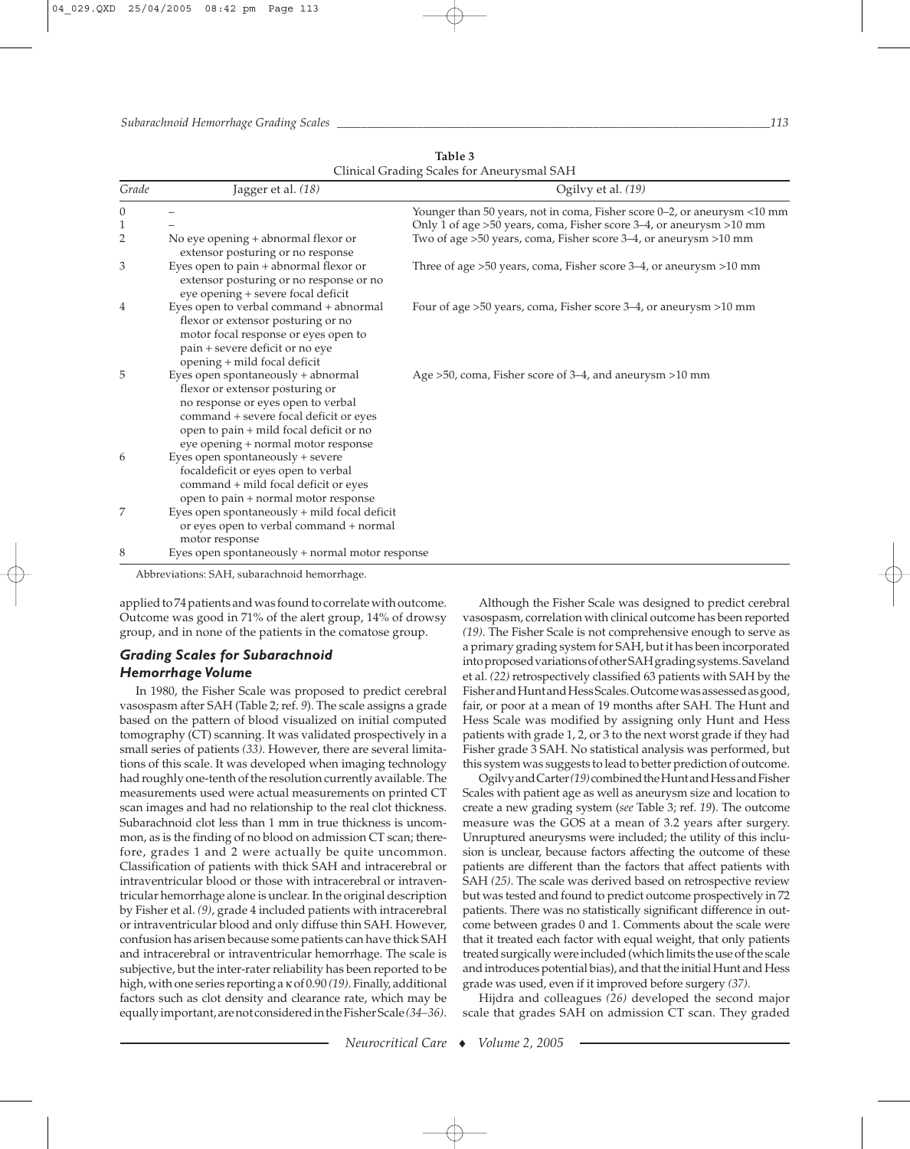| Grade          | Jagger et al. (18)                                                                                                                                                                                                                      | Ogilvy et al. (19)                                                       |
|----------------|-----------------------------------------------------------------------------------------------------------------------------------------------------------------------------------------------------------------------------------------|--------------------------------------------------------------------------|
| $\theta$       |                                                                                                                                                                                                                                         | Younger than 50 years, not in coma, Fisher score 0-2, or aneurysm <10 mm |
| 1              |                                                                                                                                                                                                                                         | Only 1 of age >50 years, coma, Fisher score 3-4, or aneurysm >10 mm      |
| $\overline{2}$ | No eye opening + abnormal flexor or<br>extensor posturing or no response                                                                                                                                                                | Two of age >50 years, coma, Fisher score 3-4, or aneurysm >10 mm         |
| 3              | Eyes open to pain + abnormal flexor or<br>extensor posturing or no response or no<br>eye opening + severe focal deficit                                                                                                                 | Three of age $>50$ years, coma, Fisher score 3–4, or aneurysm $>10$ mm   |
| 4              | Eyes open to verbal command + abnormal<br>flexor or extensor posturing or no<br>motor focal response or eyes open to<br>pain + severe deficit or no eye<br>opening + mild focal deficit                                                 | Four of age >50 years, coma, Fisher score 3-4, or aneurysm >10 mm        |
| 5              | Eyes open spontaneously + abnormal<br>flexor or extensor posturing or<br>no response or eyes open to verbal<br>command + severe focal deficit or eyes<br>open to pain + mild focal deficit or no<br>eye opening + normal motor response | Age >50, coma, Fisher score of 3-4, and aneurysm >10 mm                  |
| 6              | Eyes open spontaneously + severe<br>focaldeficit or eyes open to verbal<br>command + mild focal deficit or eyes<br>open to pain + normal motor response                                                                                 |                                                                          |
| 7              | Eyes open spontaneously + mild focal deficit<br>or eyes open to verbal command + normal<br>motor response                                                                                                                               |                                                                          |
| 8              | Eyes open spontaneously + normal motor response                                                                                                                                                                                         |                                                                          |

**Table 3** Clinical Grading Scales for Aneurysmal SAH

Abbreviations: SAH, subarachnoid hemorrhage.

applied to 74 patients and was found to correlate with outcome. Outcome was good in 71% of the alert group, 14% of drowsy group, and in none of the patients in the comatose group.

### *Grading Scales for Subarachnoid Hemorrhage Volume*

In 1980, the Fisher Scale was proposed to predict cerebral vasospasm after SAH (Table 2; ref. *9*). The scale assigns a grade based on the pattern of blood visualized on initial computed tomography (CT) scanning. It was validated prospectively in a small series of patients *(33)*. However, there are several limitations of this scale. It was developed when imaging technology had roughly one-tenth of the resolution currently available. The measurements used were actual measurements on printed CT scan images and had no relationship to the real clot thickness. Subarachnoid clot less than 1 mm in true thickness is uncommon, as is the finding of no blood on admission CT scan; therefore, grades 1 and 2 were actually be quite uncommon. Classification of patients with thick SAH and intracerebral or intraventricular blood or those with intracerebral or intraventricular hemorrhage alone is unclear. In the original description by Fisher et al. *(9)*, grade 4 included patients with intracerebral or intraventricular blood and only diffuse thin SAH. However, confusion has arisen because some patients can have thick SAH and intracerebral or intraventricular hemorrhage. The scale is subjective, but the inter-rater reliability has been reported to be high, with one series reporting a κ of 0.90 *(19)*. Finally, additional factors such as clot density and clearance rate, which may be equally important, are not considered in the Fisher Scale *(34–36)*.

Although the Fisher Scale was designed to predict cerebral vasospasm, correlation with clinical outcome has been reported *(19)*. The Fisher Scale is not comprehensive enough to serve as a primary grading system for SAH, but it has been incorporated into proposed variations of other SAH grading systems. Saveland et al. *(22)* retrospectively classified 63 patients with SAH by the Fisher and Hunt and Hess Scales. Outcome was assessed as good, fair, or poor at a mean of 19 months after SAH. The Hunt and Hess Scale was modified by assigning only Hunt and Hess patients with grade 1, 2, or 3 to the next worst grade if they had Fisher grade 3 SAH. No statistical analysis was performed, but this system was suggests to lead to better prediction of outcome.

Ogilvy and Carter *(19)* combined the Hunt and Hess and Fisher Scales with patient age as well as aneurysm size and location to create a new grading system (*see* Table 3; ref. *19*). The outcome measure was the GOS at a mean of 3.2 years after surgery. Unruptured aneurysms were included; the utility of this inclusion is unclear, because factors affecting the outcome of these patients are different than the factors that affect patients with SAH *(25)*. The scale was derived based on retrospective review but was tested and found to predict outcome prospectively in 72 patients. There was no statistically significant difference in outcome between grades 0 and 1. Comments about the scale were that it treated each factor with equal weight, that only patients treated surgically were included (which limits the use of the scale and introduces potential bias), and that the initial Hunt and Hess grade was used, even if it improved before surgery *(37)*.

Hijdra and colleagues *(26)* developed the second major scale that grades SAH on admission CT scan. They graded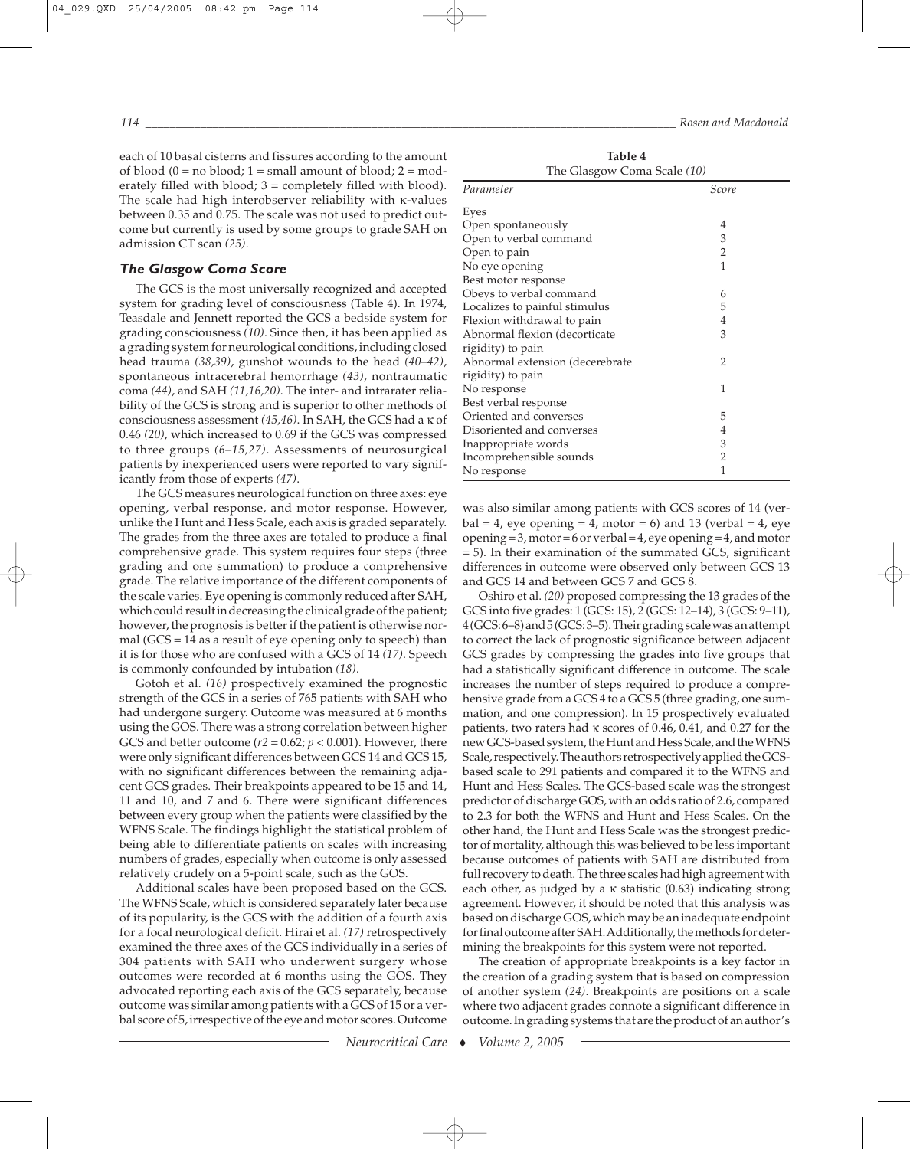each of 10 basal cisterns and fissures according to the amount of blood  $(0 = no blood; 1 = small amount of blood; 2 = mod$ erately filled with blood; 3 = completely filled with blood). The scale had high interobserver reliability with κ-values between 0.35 and 0.75. The scale was not used to predict outcome but currently is used by some groups to grade SAH on admission CT scan *(25)*.

#### *The Glasgow Coma Score*

The GCS is the most universally recognized and accepted system for grading level of consciousness (Table 4). In 1974, Teasdale and Jennett reported the GCS a bedside system for grading consciousness *(10)*. Since then, it has been applied as a grading system for neurological conditions, including closed head trauma *(38,39)*, gunshot wounds to the head *(40–42)*, spontaneous intracerebral hemorrhage *(43)*, nontraumatic coma *(44)*, and SAH *(11,16,20)*. The inter- and intrarater reliability of the GCS is strong and is superior to other methods of consciousness assessment *(45,46)*. In SAH, the GCS had a κ of 0.46 *(20)*, which increased to 0.69 if the GCS was compressed to three groups *(6–15,27)*. Assessments of neurosurgical patients by inexperienced users were reported to vary significantly from those of experts *(47)*.

The GCS measures neurological function on three axes: eye opening, verbal response, and motor response. However, unlike the Hunt and Hess Scale, each axis is graded separately. The grades from the three axes are totaled to produce a final comprehensive grade. This system requires four steps (three grading and one summation) to produce a comprehensive grade. The relative importance of the different components of the scale varies. Eye opening is commonly reduced after SAH, which could result in decreasing the clinical grade of the patient; however, the prognosis is better if the patient is otherwise normal (GCS = 14 as a result of eye opening only to speech) than it is for those who are confused with a GCS of 14 *(17)*. Speech is commonly confounded by intubation *(18)*.

Gotoh et al. *(16)* prospectively examined the prognostic strength of the GCS in a series of 765 patients with SAH who had undergone surgery. Outcome was measured at 6 months using the GOS. There was a strong correlation between higher GCS and better outcome ( $r2 = 0.62$ ;  $p < 0.001$ ). However, there were only significant differences between GCS 14 and GCS 15, with no significant differences between the remaining adjacent GCS grades. Their breakpoints appeared to be 15 and 14, 11 and 10, and 7 and 6. There were significant differences between every group when the patients were classified by the WFNS Scale. The findings highlight the statistical problem of being able to differentiate patients on scales with increasing numbers of grades, especially when outcome is only assessed relatively crudely on a 5-point scale, such as the GOS.

Additional scales have been proposed based on the GCS. The WFNS Scale, which is considered separately later because of its popularity, is the GCS with the addition of a fourth axis for a focal neurological deficit. Hirai et al. *(17)* retrospectively examined the three axes of the GCS individually in a series of 304 patients with SAH who underwent surgery whose outcomes were recorded at 6 months using the GOS. They advocated reporting each axis of the GCS separately, because outcome was similar among patients with a GCS of 15 or a verbal score of 5, irrespective of the eye and motor scores. Outcome

*114 \_\_\_\_\_\_\_\_\_\_\_\_\_\_\_\_\_\_\_\_\_\_\_\_\_\_\_\_\_\_\_\_\_\_\_\_\_\_\_\_\_\_\_\_\_\_\_\_\_\_\_\_\_\_\_\_\_\_\_\_\_\_\_\_\_\_\_\_\_\_\_\_\_\_\_\_\_\_\_\_\_\_\_\_\_\_\_ Rosen and Macdonald*

**Table 4** The Glasgow Coma Scale *(10)*

| Parameter                       | Score          |
|---------------------------------|----------------|
| Eyes                            |                |
| Open spontaneously              | 4              |
| Open to verbal command          | 3              |
| Open to pain                    | $\overline{2}$ |
| No eye opening                  | 1              |
| Best motor response             |                |
| Obeys to verbal command         | 6              |
| Localizes to painful stimulus   | 5              |
| Flexion withdrawal to pain      | 4              |
| Abnormal flexion (decorticate   | 3              |
| rigidity) to pain               |                |
| Abnormal extension (decerebrate | $\overline{2}$ |
| rigidity) to pain               |                |
| No response                     | 1              |
| Best verbal response            |                |
| Oriented and converses          | 5              |
| Disoriented and converses       | 4              |
| Inappropriate words             | 3              |
| Incomprehensible sounds         | 2              |
| No response                     |                |

was also similar among patients with GCS scores of 14 (ver $bal = 4$ , eye opening = 4, motor = 6) and 13 (verbal = 4, eye opening = 3, motor = 6 or verbal = 4, eye opening = 4, and motor = 5). In their examination of the summated GCS, significant differences in outcome were observed only between GCS 13 and GCS 14 and between GCS 7 and GCS 8.

Oshiro et al. *(20)* proposed compressing the 13 grades of the GCS into five grades: 1 (GCS: 15), 2 (GCS: 12–14), 3 (GCS: 9–11), 4 (GCS: 6–8) and 5 (GCS: 3–5). Their grading scale was an attempt to correct the lack of prognostic significance between adjacent GCS grades by compressing the grades into five groups that had a statistically significant difference in outcome. The scale increases the number of steps required to produce a comprehensive grade from a GCS 4 to a GCS 5 (three grading, one summation, and one compression). In 15 prospectively evaluated patients, two raters had κ scores of 0.46, 0.41, and 0.27 for the new GCS-based system, the Hunt and Hess Scale, and the WFNS Scale, respectively. The authors retrospectively applied the GCSbased scale to 291 patients and compared it to the WFNS and Hunt and Hess Scales. The GCS-based scale was the strongest predictor of discharge GOS, with an odds ratio of 2.6, compared to 2.3 for both the WFNS and Hunt and Hess Scales. On the other hand, the Hunt and Hess Scale was the strongest predictor of mortality, although this was believed to be less important because outcomes of patients with SAH are distributed from full recovery to death. The three scales had high agreement with each other, as judged by a κ statistic (0.63) indicating strong agreement. However, it should be noted that this analysis was based on discharge GOS, which may be an inadequate endpoint for final outcome after SAH. Additionally, the methods for determining the breakpoints for this system were not reported.

The creation of appropriate breakpoints is a key factor in the creation of a grading system that is based on compression of another system *(24)*. Breakpoints are positions on a scale where two adjacent grades connote a significant difference in outcome. In grading systems that are the product of an author's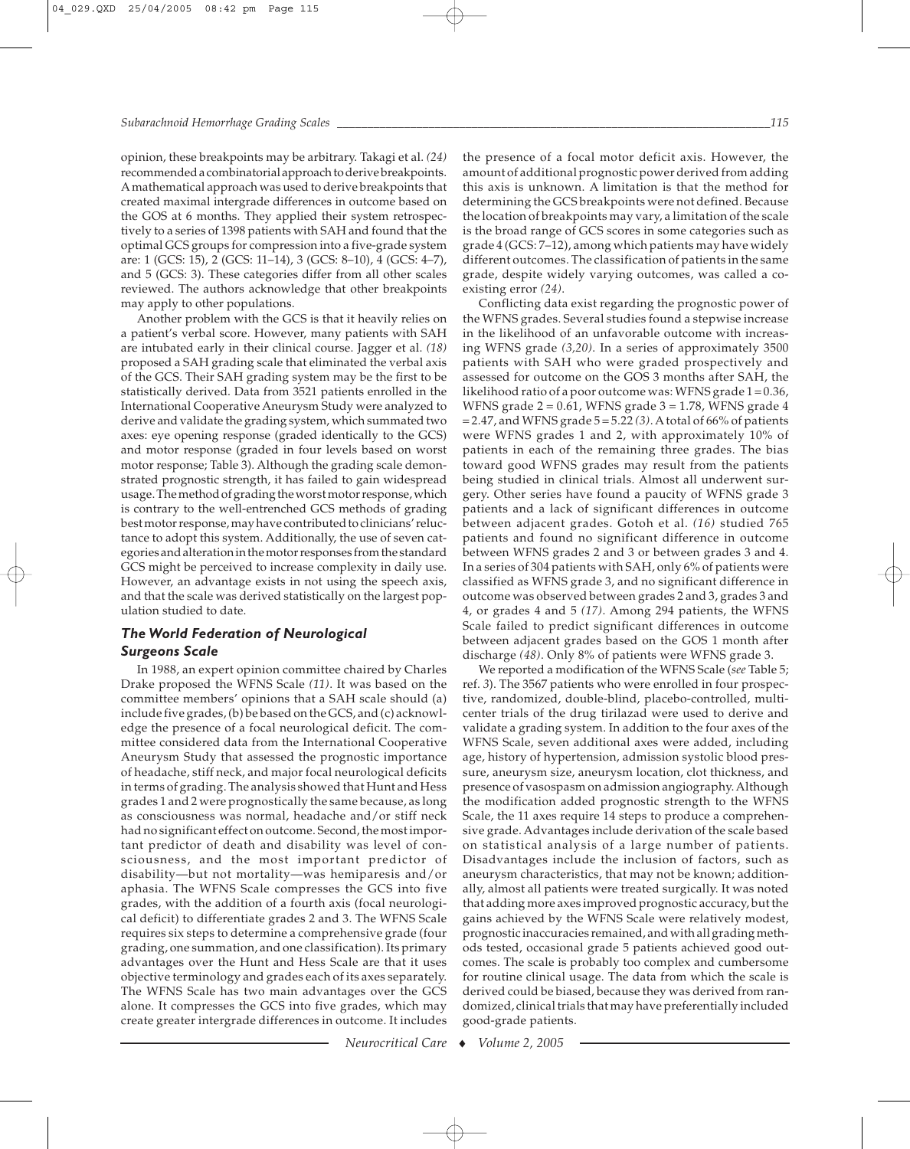opinion, these breakpoints may be arbitrary. Takagi et al. *(24)* recommended a combinatorial approach to derive breakpoints. Amathematical approach was used to derive breakpoints that created maximal intergrade differences in outcome based on the GOS at 6 months. They applied their system retrospectively to a series of 1398 patients with SAH and found that the optimal GCS groups for compression into a five-grade system are: 1 (GCS: 15), 2 (GCS: 11–14), 3 (GCS: 8–10), 4 (GCS: 4–7), and 5 (GCS: 3). These categories differ from all other scales reviewed. The authors acknowledge that other breakpoints may apply to other populations.

Another problem with the GCS is that it heavily relies on a patient's verbal score. However, many patients with SAH are intubated early in their clinical course. Jagger et al. *(18)* proposed a SAH grading scale that eliminated the verbal axis of the GCS. Their SAH grading system may be the first to be statistically derived. Data from 3521 patients enrolled in the International Cooperative Aneurysm Study were analyzed to derive and validate the grading system, which summated two axes: eye opening response (graded identically to the GCS) and motor response (graded in four levels based on worst motor response; Table 3). Although the grading scale demonstrated prognostic strength, it has failed to gain widespread usage. The method of grading the worst motor response, which is contrary to the well-entrenched GCS methods of grading best motor response, may have contributed to clinicians' reluctance to adopt this system. Additionally, the use of seven categories and alteration in the motor responses from the standard GCS might be perceived to increase complexity in daily use. However, an advantage exists in not using the speech axis, and that the scale was derived statistically on the largest population studied to date.

## *The World Federation of Neurological Surgeons Scale*

In 1988, an expert opinion committee chaired by Charles Drake proposed the WFNS Scale *(11)*. It was based on the committee members' opinions that a SAH scale should (a) include five grades, (b) be based on the GCS, and (c) acknowledge the presence of a focal neurological deficit. The committee considered data from the International Cooperative Aneurysm Study that assessed the prognostic importance of headache, stiff neck, and major focal neurological deficits in terms of grading. The analysis showed that Hunt and Hess grades 1 and 2 were prognostically the same because, as long as consciousness was normal, headache and/or stiff neck had no significant effect on outcome. Second, the most important predictor of death and disability was level of consciousness, and the most important predictor of disability—but not mortality—was hemiparesis and/or aphasia. The WFNS Scale compresses the GCS into five grades, with the addition of a fourth axis (focal neurological deficit) to differentiate grades 2 and 3. The WFNS Scale requires six steps to determine a comprehensive grade (four grading, one summation, and one classification). Its primary advantages over the Hunt and Hess Scale are that it uses objective terminology and grades each of its axes separately. The WFNS Scale has two main advantages over the GCS alone. It compresses the GCS into five grades, which may create greater intergrade differences in outcome. It includes

the presence of a focal motor deficit axis. However, the amount of additional prognostic power derived from adding this axis is unknown. A limitation is that the method for determining the GCS breakpoints were not defined. Because the location of breakpoints may vary, a limitation of the scale is the broad range of GCS scores in some categories such as grade 4 (GCS: 7–12), among which patients may have widely different outcomes. The classification of patients in the same grade, despite widely varying outcomes, was called a coexisting error *(24)*.

Conflicting data exist regarding the prognostic power of the WFNS grades. Several studies found a stepwise increase in the likelihood of an unfavorable outcome with increasing WFNS grade *(3,20)*. In a series of approximately 3500 patients with SAH who were graded prospectively and assessed for outcome on the GOS 3 months after SAH, the likelihood ratio of a poor outcome was: WFNS grade 1 = 0.36, WFNS grade  $2 = 0.61$ , WFNS grade  $3 = 1.78$ , WFNS grade  $4$ = 2.47, and WFNS grade 5 = 5.22 *(3)*. A total of 66% of patients were WFNS grades 1 and 2, with approximately 10% of patients in each of the remaining three grades. The bias toward good WFNS grades may result from the patients being studied in clinical trials. Almost all underwent surgery. Other series have found a paucity of WFNS grade 3 patients and a lack of significant differences in outcome between adjacent grades. Gotoh et al. *(16)* studied 765 patients and found no significant difference in outcome between WFNS grades 2 and 3 or between grades 3 and 4. In a series of 304 patients with SAH, only 6% of patients were classified as WFNS grade 3, and no significant difference in outcome was observed between grades 2 and 3, grades 3 and 4, or grades 4 and 5 *(17)*. Among 294 patients, the WFNS Scale failed to predict significant differences in outcome between adjacent grades based on the GOS 1 month after discharge *(48)*. Only 8% of patients were WFNS grade 3.

We reported a modification of the WFNS Scale (*see* Table 5; ref. *3*). The 3567 patients who were enrolled in four prospective, randomized, double-blind, placebo-controlled, multicenter trials of the drug tirilazad were used to derive and validate a grading system. In addition to the four axes of the WFNS Scale, seven additional axes were added, including age, history of hypertension, admission systolic blood pressure, aneurysm size, aneurysm location, clot thickness, and presence of vasospasm on admission angiography. Although the modification added prognostic strength to the WFNS Scale, the 11 axes require 14 steps to produce a comprehensive grade. Advantages include derivation of the scale based on statistical analysis of a large number of patients. Disadvantages include the inclusion of factors, such as aneurysm characteristics, that may not be known; additionally, almost all patients were treated surgically. It was noted that adding more axes improved prognostic accuracy, but the gains achieved by the WFNS Scale were relatively modest, prognostic inaccuracies remained, and with all grading methods tested, occasional grade 5 patients achieved good outcomes. The scale is probably too complex and cumbersome for routine clinical usage. The data from which the scale is derived could be biased, because they was derived from randomized, clinical trials that may have preferentially included good-grade patients.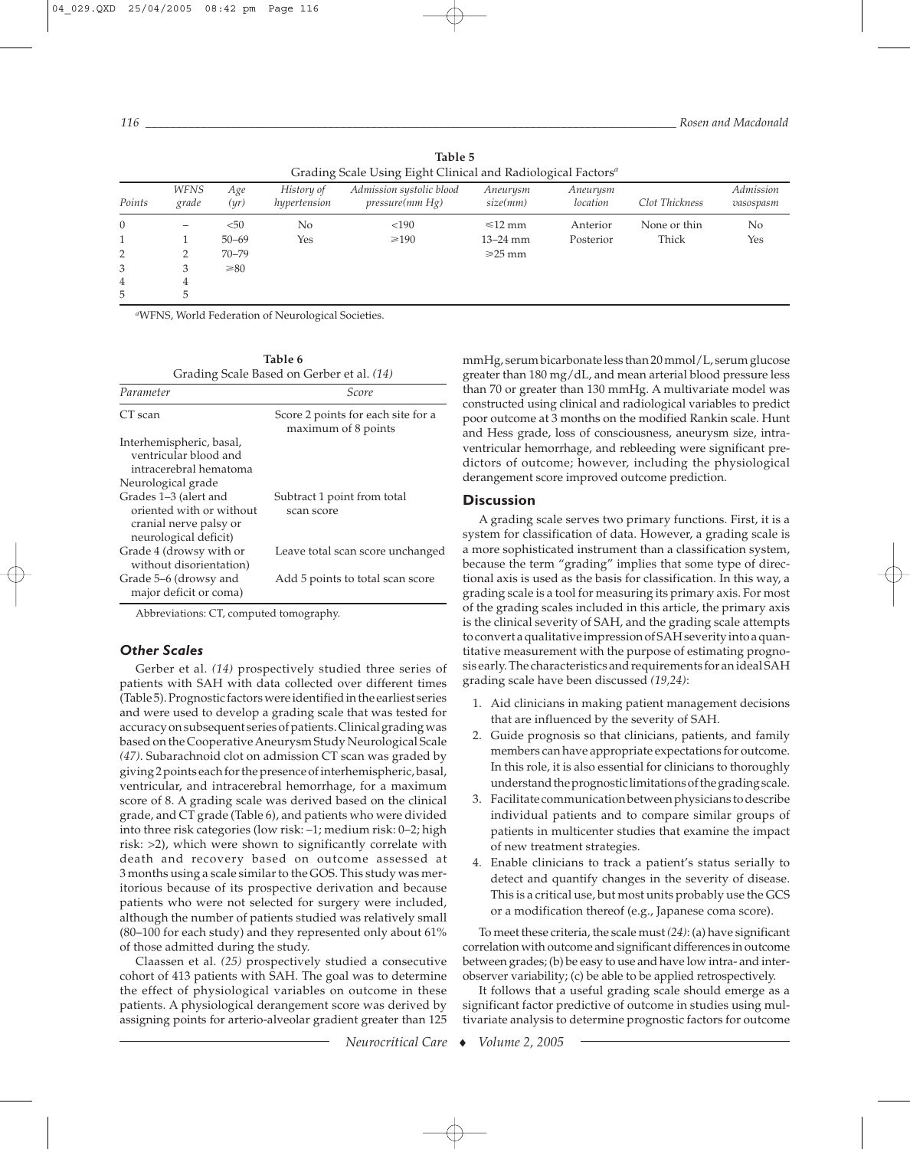| Grading Scale Using Eight Clinical and Radiological Factors <sup>a</sup> |                          |             |                            |                                             |                      |                      |                |                        |
|--------------------------------------------------------------------------|--------------------------|-------------|----------------------------|---------------------------------------------|----------------------|----------------------|----------------|------------------------|
| Points                                                                   | <b>WFNS</b><br>grade     | Age<br>(yr) | History of<br>hypertension | Admission systolic blood<br>pressure(mm Hg) | Aneurysm<br>size(mm) | Aneurysm<br>location | Clot Thickness | Admission<br>vasospasm |
| $\mathbf{0}$                                                             | $\overline{\phantom{0}}$ | < 50        | N <sub>o</sub>             | < 190                                       | $\leq 12$ mm         | Anterior             | None or thin   | No                     |
|                                                                          |                          | $50 - 69$   | Yes                        | $\geq 190$                                  | $13 - 24$ mm         | Posterior            | Thick          | Yes                    |
| 2                                                                        |                          | $70 - 79$   |                            |                                             | $\geq 25$ mm         |                      |                |                        |
| 3                                                                        | 3                        | $\geq 80$   |                            |                                             |                      |                      |                |                        |
| $\overline{4}$                                                           |                          |             |                            |                                             |                      |                      |                |                        |
| 5                                                                        |                          |             |                            |                                             |                      |                      |                |                        |

**Table 5**

*a* WFNS, World Federation of Neurological Societies.

| Table 6                                   |  |
|-------------------------------------------|--|
| Grading Scale Based on Gerber et al. (14) |  |

| Parameter                                                                                            | Score                                                     |  |  |  |
|------------------------------------------------------------------------------------------------------|-----------------------------------------------------------|--|--|--|
| CT scan                                                                                              | Score 2 points for each site for a<br>maximum of 8 points |  |  |  |
| Interhemispheric, basal,<br>ventricular blood and<br>intracerebral hematoma                          |                                                           |  |  |  |
| Neurological grade                                                                                   |                                                           |  |  |  |
| Grades 1–3 (alert and<br>oriented with or without<br>cranial nerve palsy or<br>neurological deficit) | Subtract 1 point from total<br>scan score                 |  |  |  |
| Grade 4 (drowsy with or<br>without disorientation)                                                   | Leave total scan score unchanged                          |  |  |  |
| Grade 5–6 (drowsy and<br>major deficit or coma)                                                      | Add 5 points to total scan score                          |  |  |  |

Abbreviations: CT, computed tomography.

#### *Other Scales*

Gerber et al. *(14)* prospectively studied three series of patients with SAH with data collected over different times (Table 5). Prognostic factors were identified in the earliest series and were used to develop a grading scale that was tested for accuracy on subsequent series of patients. Clinical grading was based on the Cooperative Aneurysm Study Neurological Scale *(47)*. Subarachnoid clot on admission CT scan was graded by giving 2 points each for the presence of interhemispheric, basal, ventricular, and intracerebral hemorrhage, for a maximum score of 8. A grading scale was derived based on the clinical grade, and CT grade (Table 6), and patients who were divided into three risk categories (low risk: –1; medium risk: 0–2; high risk: >2), which were shown to significantly correlate with death and recovery based on outcome assessed at 3 months using a scale similar to the GOS. This study was meritorious because of its prospective derivation and because patients who were not selected for surgery were included, although the number of patients studied was relatively small (80–100 for each study) and they represented only about 61% of those admitted during the study.

Claassen et al. *(25)* prospectively studied a consecutive cohort of 413 patients with SAH. The goal was to determine the effect of physiological variables on outcome in these patients. A physiological derangement score was derived by assigning points for arterio-alveolar gradient greater than 125 mmHg, serum bicarbonate less than 20 mmol/L, serum glucose greater than 180 mg/dL, and mean arterial blood pressure less than 70 or greater than 130 mmHg. A multivariate model was constructed using clinical and radiological variables to predict poor outcome at 3 months on the modified Rankin scale. Hunt and Hess grade, loss of consciousness, aneurysm size, intraventricular hemorrhage, and rebleeding were significant predictors of outcome; however, including the physiological derangement score improved outcome prediction.

#### **Discussion**

A grading scale serves two primary functions. First, it is a system for classification of data. However, a grading scale is a more sophisticated instrument than a classification system, because the term "grading" implies that some type of directional axis is used as the basis for classification. In this way, a grading scale is a tool for measuring its primary axis. For most of the grading scales included in this article, the primary axis is the clinical severity of SAH, and the grading scale attempts to convert a qualitative impression of SAH severity into a quantitative measurement with the purpose of estimating prognosis early. The characteristics and requirements for an ideal SAH grading scale have been discussed *(19,24)*:

- 1. Aid clinicians in making patient management decisions that are influenced by the severity of SAH.
- 2. Guide prognosis so that clinicians, patients, and family members can have appropriate expectations for outcome. In this role, it is also essential for clinicians to thoroughly understand the prognostic limitations of the grading scale.
- 3. Facilitate communication between physicians to describe individual patients and to compare similar groups of patients in multicenter studies that examine the impact of new treatment strategies.
- 4. Enable clinicians to track a patient's status serially to detect and quantify changes in the severity of disease. This is a critical use, but most units probably use the GCS or a modification thereof (e.g., Japanese coma score).

To meet these criteria, the scale must *(24)*: (a) have significant correlation with outcome and significant differences in outcome between grades; (b) be easy to use and have low intra- and interobserver variability; (c) be able to be applied retrospectively.

It follows that a useful grading scale should emerge as a significant factor predictive of outcome in studies using multivariate analysis to determine prognostic factors for outcome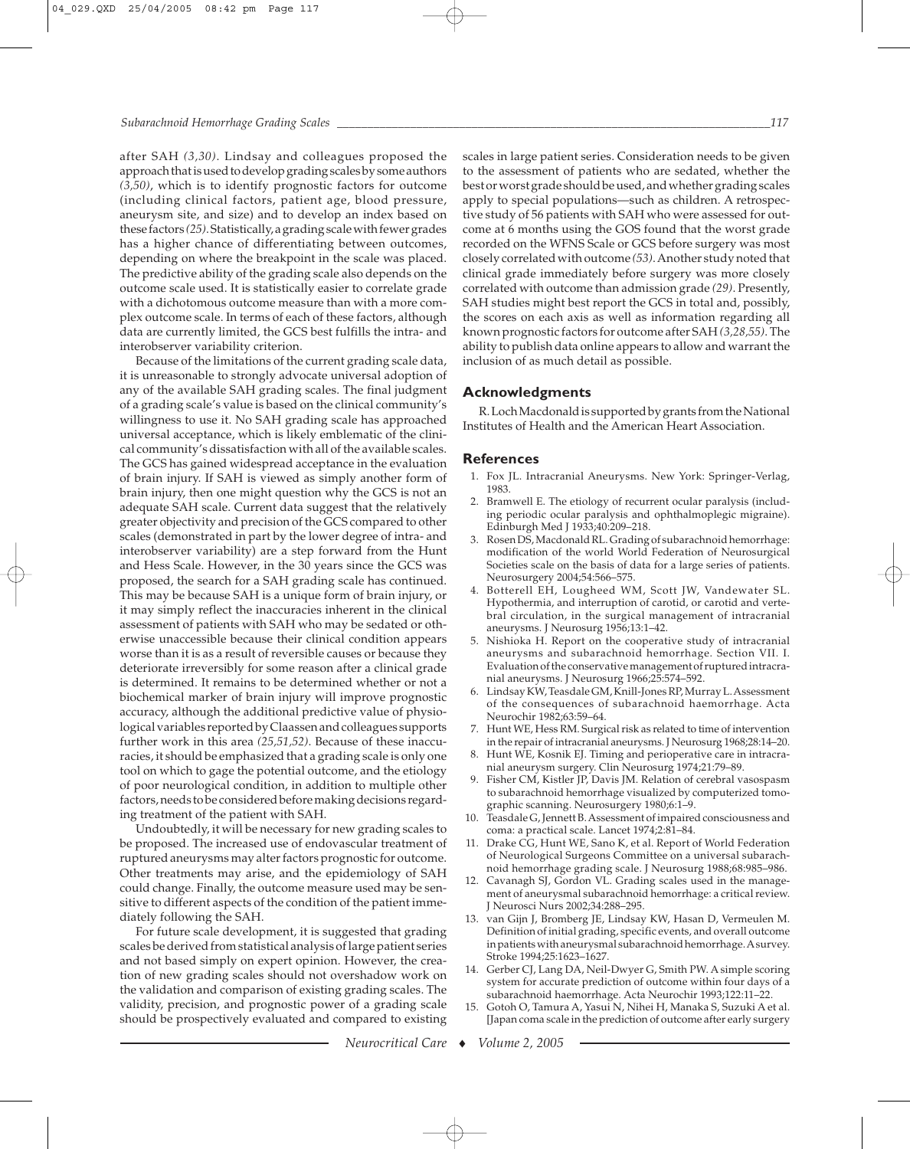after SAH *(3,30)*. Lindsay and colleagues proposed the approach that is used to develop grading scales by some authors *(3,50)*, which is to identify prognostic factors for outcome (including clinical factors, patient age, blood pressure, aneurysm site, and size) and to develop an index based on these factors *(25)*. Statistically, a grading scale with fewer grades has a higher chance of differentiating between outcomes, depending on where the breakpoint in the scale was placed. The predictive ability of the grading scale also depends on the outcome scale used. It is statistically easier to correlate grade with a dichotomous outcome measure than with a more complex outcome scale. In terms of each of these factors, although data are currently limited, the GCS best fulfills the intra- and interobserver variability criterion.

Because of the limitations of the current grading scale data, it is unreasonable to strongly advocate universal adoption of any of the available SAH grading scales. The final judgment of a grading scale's value is based on the clinical community's willingness to use it. No SAH grading scale has approached universal acceptance, which is likely emblematic of the clinical community's dissatisfaction with all of the available scales. The GCS has gained widespread acceptance in the evaluation of brain injury. If SAH is viewed as simply another form of brain injury, then one might question why the GCS is not an adequate SAH scale. Current data suggest that the relatively greater objectivity and precision of the GCS compared to other scales (demonstrated in part by the lower degree of intra- and interobserver variability) are a step forward from the Hunt and Hess Scale. However, in the 30 years since the GCS was proposed, the search for a SAH grading scale has continued. This may be because SAH is a unique form of brain injury, or it may simply reflect the inaccuracies inherent in the clinical assessment of patients with SAH who may be sedated or otherwise unaccessible because their clinical condition appears worse than it is as a result of reversible causes or because they deteriorate irreversibly for some reason after a clinical grade is determined. It remains to be determined whether or not a biochemical marker of brain injury will improve prognostic accuracy, although the additional predictive value of physiological variables reported by Claassen and colleagues supports further work in this area *(25,51,52)*. Because of these inaccuracies, it should be emphasized that a grading scale is only one tool on which to gage the potential outcome, and the etiology of poor neurological condition, in addition to multiple other factors, needs to be considered before making decisions regarding treatment of the patient with SAH.

Undoubtedly, it will be necessary for new grading scales to be proposed. The increased use of endovascular treatment of ruptured aneurysms may alter factors prognostic for outcome. Other treatments may arise, and the epidemiology of SAH could change. Finally, the outcome measure used may be sensitive to different aspects of the condition of the patient immediately following the SAH.

For future scale development, it is suggested that grading scales be derived from statistical analysis of large patient series and not based simply on expert opinion. However, the creation of new grading scales should not overshadow work on the validation and comparison of existing grading scales. The validity, precision, and prognostic power of a grading scale should be prospectively evaluated and compared to existing

scales in large patient series. Consideration needs to be given to the assessment of patients who are sedated, whether the best or worst grade should be used, and whether grading scales apply to special populations—such as children. A retrospective study of 56 patients with SAH who were assessed for outcome at 6 months using the GOS found that the worst grade recorded on the WFNS Scale or GCS before surgery was most closely correlated with outcome *(53)*. Another study noted that clinical grade immediately before surgery was more closely correlated with outcome than admission grade *(29)*. Presently, SAH studies might best report the GCS in total and, possibly, the scores on each axis as well as information regarding all known prognostic factors for outcome after SAH *(3,28,55)*. The ability to publish data online appears to allow and warrant the inclusion of as much detail as possible.

#### **Acknowledgments**

R. Loch Macdonald is supported by grants from the National Institutes of Health and the American Heart Association.

#### **References**

- 1. Fox JL. Intracranial Aneurysms. New York: Springer-Verlag, 1983.
- 2. Bramwell E. The etiology of recurrent ocular paralysis (including periodic ocular paralysis and ophthalmoplegic migraine). Edinburgh Med J 1933;40:209–218.
- 3. Rosen DS, Macdonald RL. Grading of subarachnoid hemorrhage: modification of the world World Federation of Neurosurgical Societies scale on the basis of data for a large series of patients. Neurosurgery 2004;54:566–575.
- 4. Botterell EH, Lougheed WM, Scott JW, Vandewater SL. Hypothermia, and interruption of carotid, or carotid and vertebral circulation, in the surgical management of intracranial aneurysms. J Neurosurg 1956;13:1–42.
- 5. Nishioka H. Report on the cooperative study of intracranial aneurysms and subarachnoid hemorrhage. Section VII. I. Evaluation of the conservative management of ruptured intracranial aneurysms. J Neurosurg 1966;25:574–592.
- 6. Lindsay KW, Teasdale GM, Knill-Jones RP, Murray L. Assessment of the consequences of subarachnoid haemorrhage. Acta Neurochir 1982;63:59–64.
- 7. Hunt WE, Hess RM. Surgical risk as related to time of intervention in the repair of intracranial aneurysms. J Neurosurg 1968;28:14–20.
- 8. Hunt WE, Kosnik EJ. Timing and perioperative care in intracranial aneurysm surgery. Clin Neurosurg 1974;21:79–89.
- 9. Fisher CM, Kistler JP, Davis JM. Relation of cerebral vasospasm to subarachnoid hemorrhage visualized by computerized tomographic scanning. Neurosurgery 1980;6:1–9.
- 10. Teasdale G, Jennett B. Assessment of impaired consciousness and coma: a practical scale. Lancet 1974;2:81–84.
- 11. Drake CG, Hunt WE, Sano K, et al. Report of World Federation of Neurological Surgeons Committee on a universal subarachnoid hemorrhage grading scale. J Neurosurg 1988;68:985–986.
- 12. Cavanagh SJ, Gordon VL. Grading scales used in the management of aneurysmal subarachnoid hemorrhage: a critical review. J Neurosci Nurs 2002;34:288–295.
- 13. van Gijn J, Bromberg JE, Lindsay KW, Hasan D, Vermeulen M. Definition of initial grading, specific events, and overall outcome in patients with aneurysmal subarachnoid hemorrhage. Asurvey. Stroke 1994;25:1623–1627.
- 14. Gerber CJ, Lang DA, Neil-Dwyer G, Smith PW. A simple scoring system for accurate prediction of outcome within four days of a subarachnoid haemorrhage. Acta Neurochir 1993;122:11–22.
- 15. Gotoh O, Tamura A, Yasui N, Nihei H, Manaka S, Suzuki A et al. [Japan coma scale in the prediction of outcome after early surgery

*Neurocritical Care* ♦ *Volume 2, 2005*